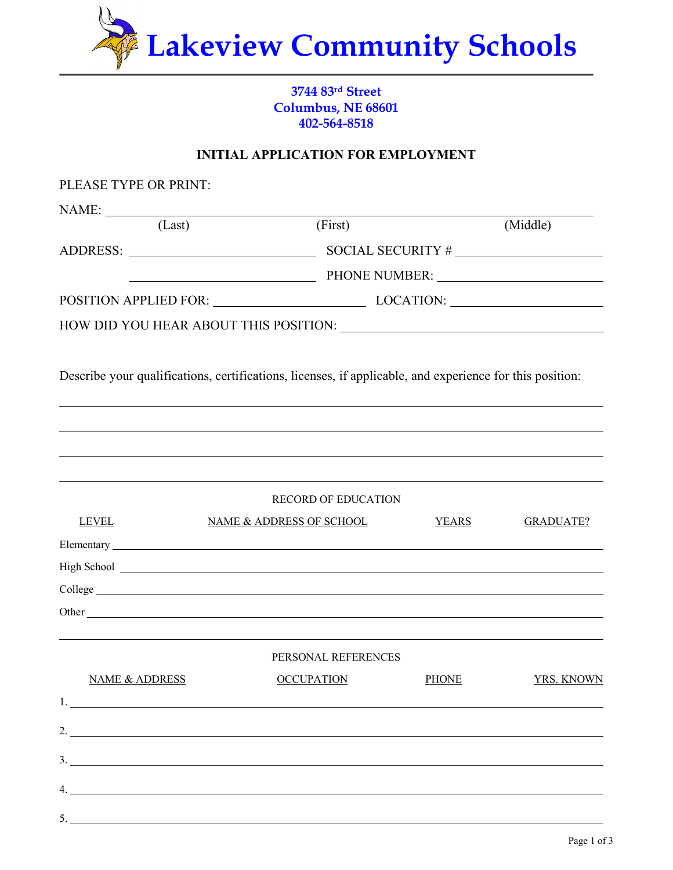

## **3744 83rd Street Columbus, NE 68601 402-564-8518**

## **INITIAL APPLICATION FOR EMPLOYMENT**

| PLEASE TYPE OR PRINT:     |                                                                                                                                                                                                                                      |              |                  |
|---------------------------|--------------------------------------------------------------------------------------------------------------------------------------------------------------------------------------------------------------------------------------|--------------|------------------|
| NAME:                     |                                                                                                                                                                                                                                      |              |                  |
| (Last)                    | (First)                                                                                                                                                                                                                              |              | (Middle)         |
|                           |                                                                                                                                                                                                                                      |              |                  |
|                           |                                                                                                                                                                                                                                      |              |                  |
|                           | POSITION APPLIED FOR: LOCATION: LOCATION:                                                                                                                                                                                            |              |                  |
|                           |                                                                                                                                                                                                                                      |              |                  |
|                           | Describe your qualifications, certifications, licenses, if applicable, and experience for this position:                                                                                                                             |              |                  |
|                           |                                                                                                                                                                                                                                      |              |                  |
|                           |                                                                                                                                                                                                                                      |              |                  |
|                           |                                                                                                                                                                                                                                      |              |                  |
|                           | <b>RECORD OF EDUCATION</b>                                                                                                                                                                                                           |              |                  |
| <b>LEVEL</b>              | <b>NAME &amp; ADDRESS OF SCHOOL</b>                                                                                                                                                                                                  | <b>YEARS</b> | <b>GRADUATE?</b> |
|                           |                                                                                                                                                                                                                                      |              |                  |
|                           | High School <u>superior and the set of the set of the set of the set of the set of the set of the set of the set of the set of the set of the set of the set of the set of the set of the set of the set of the set of the set o</u> |              |                  |
|                           |                                                                                                                                                                                                                                      |              |                  |
|                           |                                                                                                                                                                                                                                      |              |                  |
|                           | PERSONAL REFERENCES                                                                                                                                                                                                                  |              |                  |
| <b>NAME &amp; ADDRESS</b> | <b>OCCUPATION</b>                                                                                                                                                                                                                    | <b>PHONE</b> | YRS. KNOWN       |
|                           |                                                                                                                                                                                                                                      |              |                  |
|                           | 2. $\overline{\phantom{a}}$                                                                                                                                                                                                          |              |                  |
|                           |                                                                                                                                                                                                                                      |              |                  |
|                           | $\frac{3}{2}$                                                                                                                                                                                                                        |              |                  |
|                           | 4.                                                                                                                                                                                                                                   |              |                  |
| 5.                        |                                                                                                                                                                                                                                      |              |                  |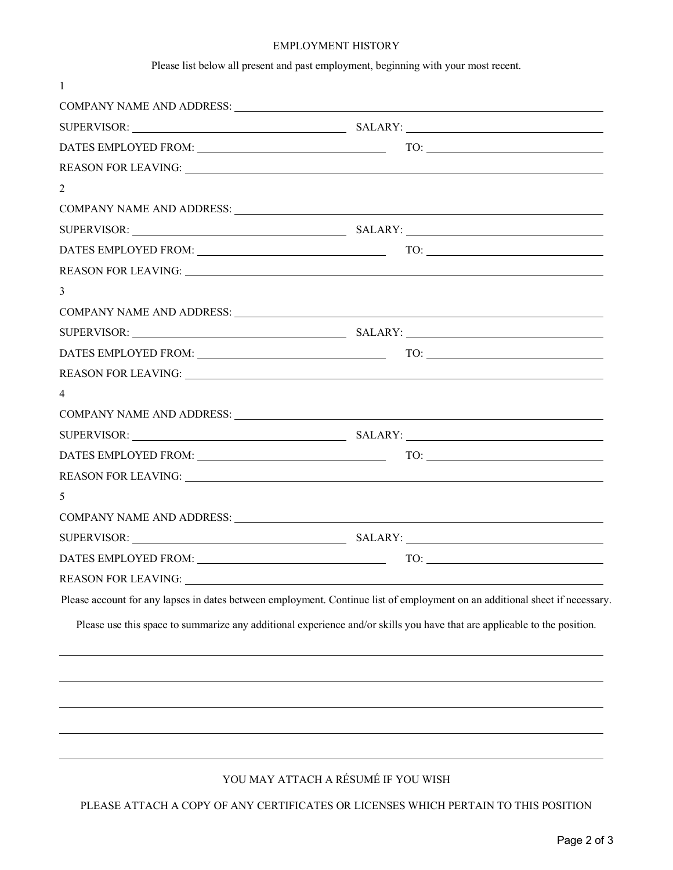#### EMPLOYMENT HISTORY

Please list below all present and past employment, beginning with your most recent.

|                | SUPERVISOR: SALARY:             |  |
|----------------|---------------------------------|--|
|                |                                 |  |
|                |                                 |  |
| 2              |                                 |  |
|                |                                 |  |
|                | SUPERVISOR: SALARY:             |  |
|                |                                 |  |
|                |                                 |  |
| 3              |                                 |  |
|                |                                 |  |
|                | SUPERVISOR: SALARY:             |  |
|                |                                 |  |
|                |                                 |  |
| $\overline{4}$ |                                 |  |
|                |                                 |  |
|                |                                 |  |
|                |                                 |  |
|                |                                 |  |
| 5              |                                 |  |
|                |                                 |  |
|                | SUPERVISOR: SUPERVISOR: SALARY: |  |
|                |                                 |  |
|                |                                 |  |

## YOU MAY ATTACH A RÉSUMÉ IF YOU WISH

PLEASE ATTACH A COPY OF ANY CERTIFICATES OR LICENSES WHICH PERTAIN TO THIS POSITION